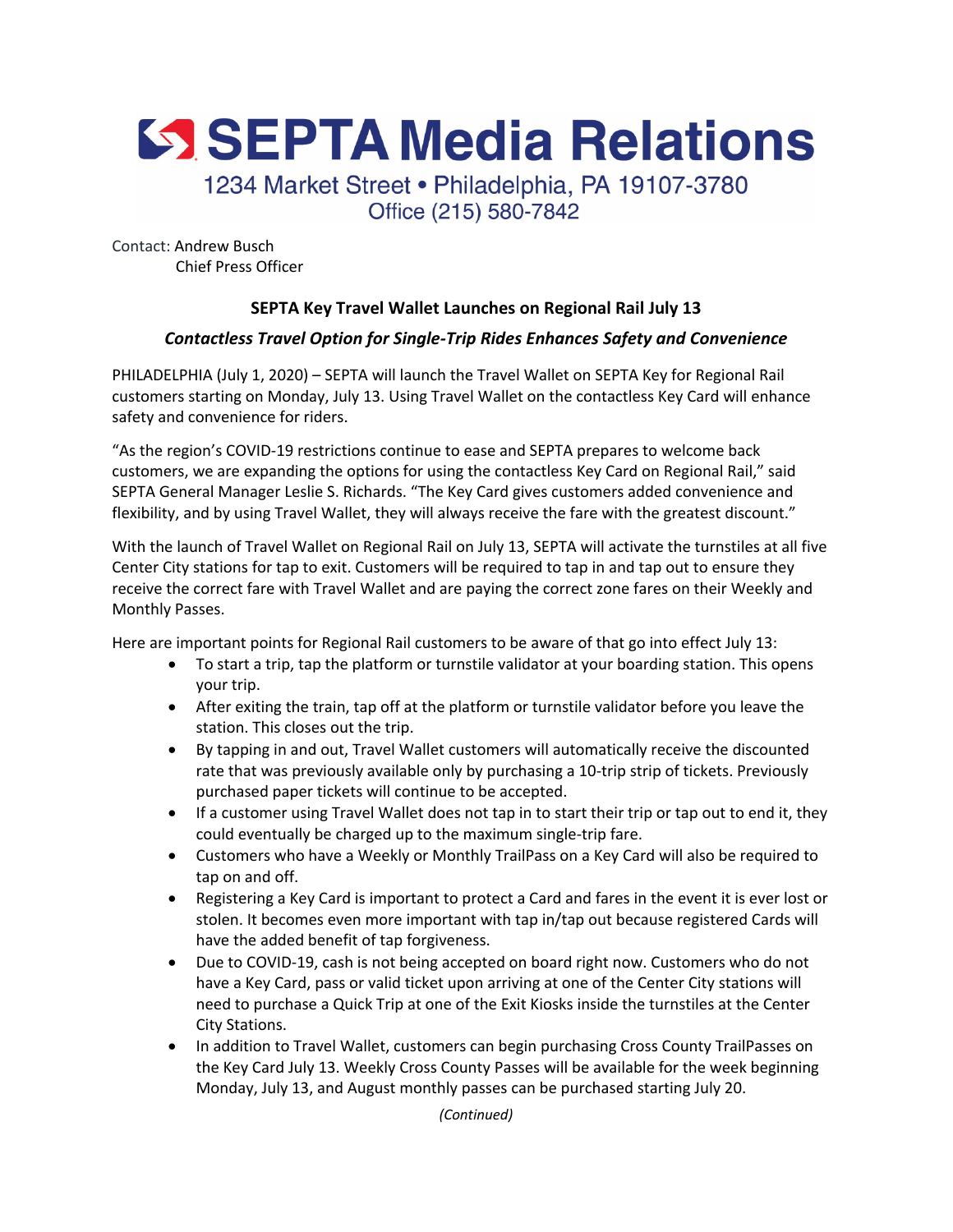SSEPTA Media Relations

1234 Market Street • Philadelphia, PA 19107-3780 Office (215) 580-7842

Contact: Andrew Busch Chief Press Officer

## **SEPTA Key Travel Wallet Launches on Regional Rail July 13**

## *Contactless Travel Option for Single-Trip Rides Enhances Safety and Convenience*

PHILADELPHIA (July 1, 2020) – SEPTA will launch the Travel Wallet on SEPTA Key for Regional Rail customers starting on Monday, July 13. Using Travel Wallet on the contactless Key Card will enhance safety and convenience for riders.

"As the region's COVID-19 restrictions continue to ease and SEPTA prepares to welcome back customers, we are expanding the options for using the contactless Key Card on Regional Rail," said SEPTA General Manager Leslie S. Richards. "The Key Card gives customers added convenience and flexibility, and by using Travel Wallet, they will always receive the fare with the greatest discount."

With the launch of Travel Wallet on Regional Rail on July 13, SEPTA will activate the turnstiles at all five Center City stations for tap to exit. Customers will be required to tap in and tap out to ensure they receive the correct fare with Travel Wallet and are paying the correct zone fares on their Weekly and Monthly Passes.

Here are important points for Regional Rail customers to be aware of that go into effect July 13:

- To start a trip, tap the platform or turnstile validator at your boarding station. This opens your trip.
- After exiting the train, tap off at the platform or turnstile validator before you leave the station. This closes out the trip.
- By tapping in and out, Travel Wallet customers will automatically receive the discounted rate that was previously available only by purchasing a 10-trip strip of tickets. Previously purchased paper tickets will continue to be accepted.
- If a customer using Travel Wallet does not tap in to start their trip or tap out to end it, they could eventually be charged up to the maximum single-trip fare.
- Customers who have a Weekly or Monthly TrailPass on a Key Card will also be required to tap on and off.
- Registering a Key Card is important to protect a Card and fares in the event it is ever lost or stolen. It becomes even more important with tap in/tap out because registered Cards will have the added benefit of tap forgiveness.
- Due to COVID-19, cash is not being accepted on board right now. Customers who do not have a Key Card, pass or valid ticket upon arriving at one of the Center City stations will need to purchase a Quick Trip at one of the Exit Kiosks inside the turnstiles at the Center City Stations.
- In addition to Travel Wallet, customers can begin purchasing Cross County TrailPasses on the Key Card July 13. Weekly Cross County Passes will be available for the week beginning Monday, July 13, and August monthly passes can be purchased starting July 20.